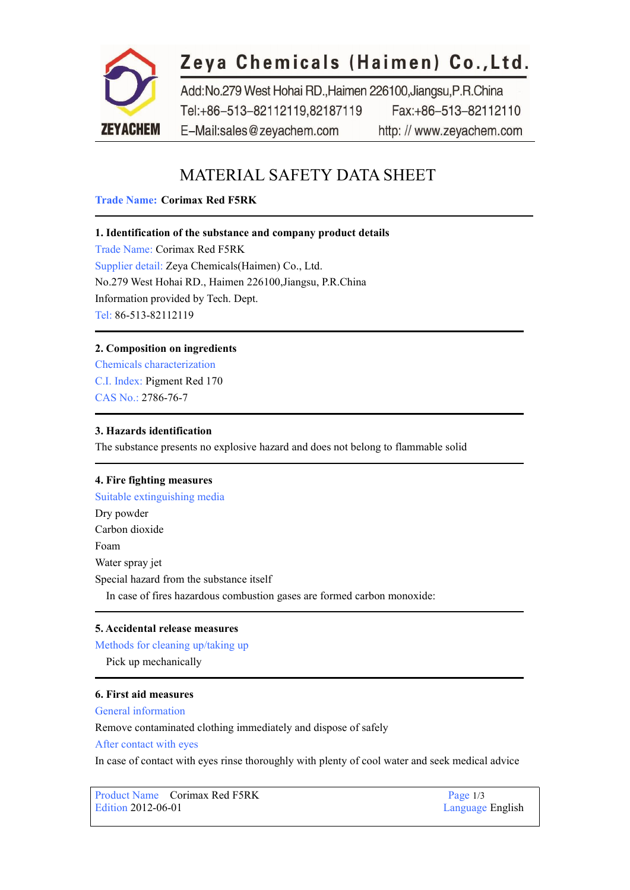

# Zeya Chemicals (Haimen) Co., Ltd.

Add:No.279 West Hohai RD.,Haimen 226100,Jiangsu,P.R.China Tel:+86-513-82112119,82187119 Fax:+86-513-82112110 E-Mail:sales@zeyachem.com http://www.zeyachem.com

# MATERIAL SAFETY DATA SHEET

# **Trade Name: Corimax Red F5RK**

# **1. Identification of the substance and company product details**

Trade Name: Corimax Red F5RK Supplier detail: Zeya Chemicals(Haimen) Co., Ltd. No.279 West Hohai RD., Haimen 226100,Jiangsu, P.R.China Information provided by Tech. Dept. Tel: 86-513-82112119

# **2. Composition on ingredients**

Chemicals characterization C.I. Index: [Pigment](https://www.zeyachem.net/corimax-red-f5rk.html) Red 170 CAS No.: 2786-76-7

# **3. Hazards identification**

The substance presents no explosive hazard and doesnot belong to flammable solid

# **4. Fire fighting measures**

Suitable extinguishing media Dry powder Carbon dioxide Foam Water spray jet Special hazard from the substance itself In case of fires hazardous combustion gases are formed carbon monoxide:

#### **5. Accidental release measures**

Methods for cleaning up/taking up Pick up mechanically

# **6. First aid measures**

General information

Remove contaminated clothing immediately and dispose of safely

After contact with eyes

In case of contact with eyes rinse thoroughly with plenty of cool water and seek medical advice

Product Name Corimax Red F5RK Page 1/3<br>
Edition 2012-06-01 Language

Language English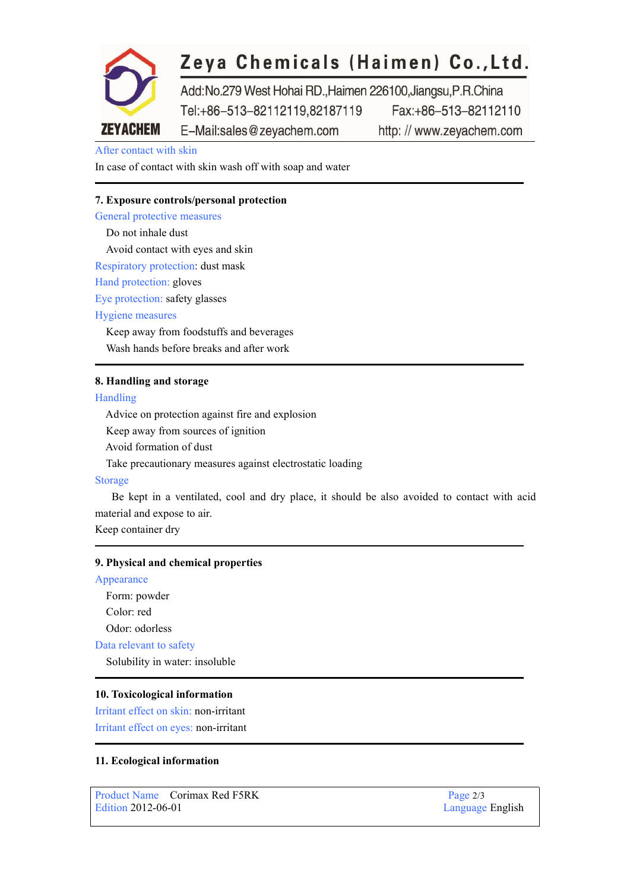

# Zeya Chemicals (Haimen) Co., Ltd.

Add:No.279 West Hohai RD.,Haimen 226100,Jiangsu,P.R.China Tel:+86-513-82112119.82187119 Fax:+86-513-82112110 E-Mail:sales@zeyachem.com http://www.zeyachem.com

# After contact with skin

In case of contact with skin wash off with soap and water

#### **7. Exposure controls/personal protection**

General protective measures Do not inhale dust Avoid contact with eyes and skin Respiratory protection: dust mask Hand protection: gloves Eye protection: safety glasses Hygiene measures Keep away from foodstuffs and beverages Wash hands before breaks and after work

#### **8. Handling and storage**

#### Handling

Advice on protection against fire and explosion Keep away from sources of ignition Avoid formation of dust Take precautionary measures against electrostatic loading

# Storage

Be kept in a ventilated, cool and dry place, it should be also avoided to contact with acid material and expose to air.

Keep container dry

#### **9. Physical and chemical properties**

#### Appearance

Form: powder Color: red Odor: odorless Data relevant to safety Solubility in water: insoluble

#### **10. Toxicological information**

Irritant effect on skin: non-irritant Irritant effect on eyes: non-irritant

# **11. Ecological information**

Product Name Corimax Red F5RK Page 2/3<br>Edition 2012-06-01 Language

Language English